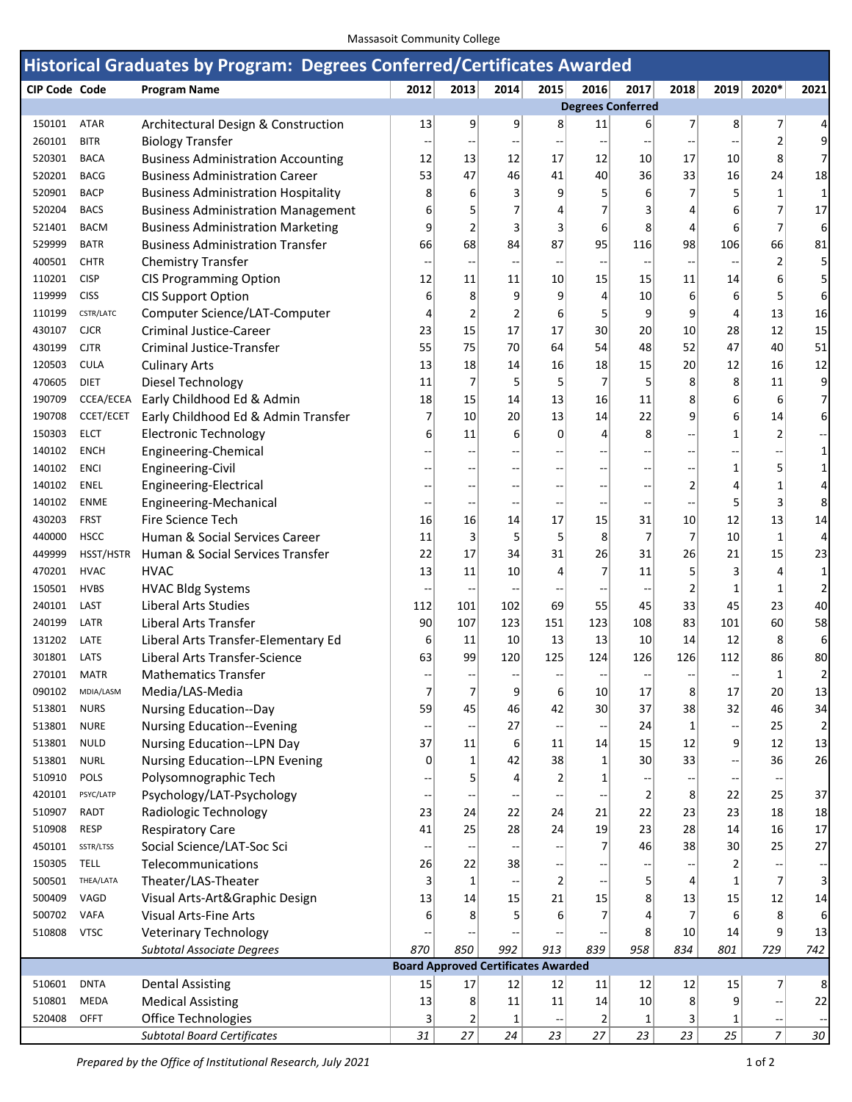## Massasoit Community College

| Historical Graduates by Program: Degrees Conferred/Certificates Awarded |                  |                                                                    |      |                 |                                            |                |                |                          |                      |                          |                                                     |                          |
|-------------------------------------------------------------------------|------------------|--------------------------------------------------------------------|------|-----------------|--------------------------------------------|----------------|----------------|--------------------------|----------------------|--------------------------|-----------------------------------------------------|--------------------------|
| <b>CIP Code Code</b>                                                    |                  | <b>Program Name</b>                                                | 2012 | 2013            | 2014                                       | 2015           | 2016           | 2017                     | 2018                 | 2019                     | 2020*                                               | 2021                     |
|                                                                         |                  |                                                                    |      |                 |                                            |                |                | <b>Degrees Conferred</b> |                      |                          |                                                     |                          |
| 150101                                                                  | <b>ATAR</b>      | Architectural Design & Construction                                | 13   | 9               | 9                                          | 8              | 11             | $6 \mid$                 | 7                    | 8                        | 7                                                   | 4                        |
| 260101                                                                  | <b>BITR</b>      | <b>Biology Transfer</b>                                            |      |                 |                                            |                | --             | $\overline{a}$           | $- -$                | --                       | 2                                                   | 9                        |
| 520301                                                                  | <b>BACA</b>      | <b>Business Administration Accounting</b>                          | 12   | 13              | 12                                         | 17             | 12             | 10 <sup>1</sup>          | 17                   | 10 <sup>1</sup>          | 8                                                   | 7                        |
| 520201                                                                  | <b>BACG</b>      | <b>Business Administration Career</b>                              | 53   | 47              | 46                                         | 41             | 40             | 36                       | 33                   | 16                       | 24                                                  | 18                       |
| 520901                                                                  | <b>BACP</b>      | <b>Business Administration Hospitality</b>                         | 8    | 6               | 3                                          | 9              | 5              | 6                        | $\overline{7}$       | 5                        | 1                                                   | 1                        |
| 520204                                                                  | <b>BACS</b>      | <b>Business Administration Management</b>                          | 6    | 5               | 7                                          | 4              | $\overline{7}$ | 3                        | 4                    | 6                        | 7                                                   | 17                       |
| 521401                                                                  | <b>BACM</b>      | <b>Business Administration Marketing</b>                           | 9    | 2               | 3                                          | 3              | 6              | 8                        | 4                    | 6                        | 7                                                   | 6                        |
| 529999                                                                  | <b>BATR</b>      | <b>Business Administration Transfer</b>                            | 66   | 68              | 84                                         | 87             | 95             | 116                      | 98                   | 106                      | 66                                                  | 81                       |
| 400501                                                                  | <b>CHTR</b>      | <b>Chemistry Transfer</b>                                          |      |                 |                                            |                |                |                          |                      |                          | $\overline{2}$                                      | 5                        |
| 110201                                                                  | <b>CISP</b>      | <b>CIS Programming Option</b>                                      | 12   | 11              | 11                                         | 10             | 15             | 15                       | 11                   | 14                       | 6                                                   | 5                        |
| 119999                                                                  | <b>CISS</b>      | <b>CIS Support Option</b>                                          | 6    | 8               | 9                                          | 9              | 4              | 10                       | 6                    | 6                        | 5                                                   | 6                        |
| 110199                                                                  | CSTR/LATC        | Computer Science/LAT-Computer                                      | 4    | 2               | 2                                          | 6              | 5              | $\overline{9}$           | 9                    | 4                        | 13                                                  | 16                       |
| 430107                                                                  | <b>CJCR</b>      | <b>Criminal Justice-Career</b>                                     | 23   | 15              | 17                                         | 17             | 30             | 20                       | 10                   | 28                       | 12                                                  | 15                       |
| 430199                                                                  | <b>CJTR</b>      | Criminal Justice-Transfer                                          | 55   | 75              | 70                                         | 64             | 54             | 48                       | 52                   | 47                       | 40                                                  | 51                       |
| 120503                                                                  | <b>CULA</b>      | <b>Culinary Arts</b>                                               | 13   | 18              | 14                                         | 16             | 18             | 15                       | 20                   | 12                       | 16                                                  | 12                       |
| 470605                                                                  | <b>DIET</b>      | Diesel Technology                                                  | 11   | 7               | 5                                          | 5              | 7              | 5                        | 8                    | 8                        | 11                                                  | 9                        |
| 190709                                                                  | CCEA/ECEA        | Early Childhood Ed & Admin                                         | 18   | 15              | 14                                         | 13             | 16             | 11                       | 8                    | 6                        | 6                                                   | 7                        |
| 190708                                                                  | <b>CCET/ECET</b> | Early Childhood Ed & Admin Transfer                                | 7    | 10 <sup>1</sup> | 20                                         | 13             | 14             | 22                       | 9                    | 6                        | 14                                                  | 6                        |
| 150303                                                                  | <b>ELCT</b>      | <b>Electronic Technology</b>                                       | 6    | 11              | 6                                          | $\overline{0}$ | 4              | 8                        | --                   | $\mathbf{1}$             | 2                                                   |                          |
| 140102                                                                  | <b>ENCH</b>      | Engineering-Chemical                                               |      |                 |                                            | --             | --             | $\overline{a}$           | --                   | --                       |                                                     | 1                        |
| 140102                                                                  | <b>ENCI</b>      | Engineering-Civil                                                  |      |                 |                                            |                | --             | --                       | --                   | 1                        | 5                                                   | 1                        |
| 140102                                                                  | ENEL             | Engineering-Electrical                                             |      |                 |                                            |                |                | --                       | $\overline{2}$       | 4                        | 1                                                   | 4                        |
| 140102                                                                  | <b>ENME</b>      | Engineering-Mechanical                                             | --   | --              |                                            |                | --             | --                       | --                   | 5                        | 3                                                   | 8                        |
| 430203                                                                  | <b>FRST</b>      | Fire Science Tech                                                  | 16   | 16              | 14                                         | 17             | 15             | 31                       | 10                   | 12                       | 13                                                  | 14                       |
| 440000                                                                  | <b>HSCC</b>      | Human & Social Services Career                                     | 11   | 3               | 5                                          | 5              | 8              | 7                        | $\overline{7}$       | 10 <sup>1</sup>          | 1                                                   | 4                        |
| 449999                                                                  | HSST/HSTR        | Human & Social Services Transfer                                   | 22   | 17              | 34                                         | 31             | 26             | 31                       | 26                   | 21                       | 15                                                  | 23                       |
| 470201                                                                  | <b>HVAC</b>      | <b>HVAC</b>                                                        | 13   | 11              | 10                                         | 4              | 7              | 11                       | 5                    | 3                        | 4                                                   | 1                        |
| 150501                                                                  | <b>HVBS</b>      | <b>HVAC Bldg Systems</b>                                           | н.   | $\sim$          |                                            |                |                | $\overline{\phantom{a}}$ | $\overline{2}$       | 1                        | 1                                                   | $\overline{2}$           |
| 240101                                                                  | LAST             | <b>Liberal Arts Studies</b>                                        | 112  | 101             | 102                                        | 69             | 55             | 45                       | 33                   | 45                       | 23                                                  | 40                       |
| 240199                                                                  | LATR             | Liberal Arts Transfer                                              | 90   | 107             | 123                                        | 151            | 123            | 108                      | 83                   | 101                      | 60                                                  | 58                       |
| 131202                                                                  | LATE             | Liberal Arts Transfer-Elementary Ed                                | 6    | 11              | 10                                         | 13             | 13             | 10 <sup>1</sup>          | 14                   | 12                       | 8                                                   | 6                        |
| 301801                                                                  | LATS             | Liberal Arts Transfer-Science                                      | 63   | 99              | 120                                        | 125            | 124            | 126                      | 126                  | 112                      | 86                                                  | 80<br>າ                  |
| 270101 MATR<br>090102                                                   | MDIA/LASM        | <b>Mathematics Transfer</b>                                        | 7    | $\overline{7}$  | $\overline{9}$                             | $6 \mid$       |                | 17                       |                      |                          | 1<br>20                                             |                          |
| 513801                                                                  | <b>NURS</b>      | Media/LAS-Media                                                    | 59   | 45              | 46                                         | 42             | 10<br>30       | 37                       | 8 <sup>2</sup><br>38 | 17<br>32                 | 46                                                  | 13<br>34                 |
| 513801                                                                  | <b>NURE</b>      | <b>Nursing Education--Day</b><br><b>Nursing Education--Evening</b> |      |                 | 27                                         | --             |                | 24                       | $\mathbf{1}$         |                          | 25                                                  | $\overline{\mathbf{c}}$  |
| 513801                                                                  | <b>NULD</b>      | Nursing Education--LPN Day                                         | 37   | 11              | 6                                          | 11             | --<br>14       | 15                       | 12                   | --<br>9                  | 12                                                  | 13                       |
| 513801                                                                  | <b>NURL</b>      | <b>Nursing Education--LPN Evening</b>                              | 0    | 1               | 42                                         | 38             | $\mathbf{1}$   | 30 <sup>2</sup>          | 33                   | $\overline{\phantom{a}}$ | 36                                                  | 26                       |
| 510910                                                                  | POLS             | Polysomnographic Tech                                              |      | 5               | 4                                          | 2              | 1              |                          |                      |                          |                                                     |                          |
| 420101                                                                  | PSYC/LATP        | Psychology/LAT-Psychology                                          |      |                 |                                            |                |                | $\overline{2}$           | 8                    | 22                       | 25                                                  | 37                       |
| 510907                                                                  | <b>RADT</b>      | Radiologic Technology                                              | 23   | 24              | 22                                         | 24             | 21             | 22                       | 23                   | 23                       | 18                                                  | 18                       |
| 510908                                                                  | <b>RESP</b>      | <b>Respiratory Care</b>                                            | 41   | 25              | 28                                         | 24             | 19             | 23                       | 28                   | 14                       | 16                                                  | 17                       |
| 450101                                                                  | SSTR/LTSS        | Social Science/LAT-Soc Sci                                         |      |                 |                                            |                | 7              | 46                       | 38                   | 30                       | 25                                                  | 27                       |
| 150305                                                                  | <b>TELL</b>      | Telecommunications                                                 | 26   | 22              | 38                                         |                |                | --                       |                      | 2                        | $\sim$                                              | ÷,                       |
| 500501                                                                  | THEA/LATA        | Theater/LAS-Theater                                                | 3    | 1               |                                            | $\overline{2}$ | --             | 5                        | 4                    | 1                        | $\overline{7}$                                      | 3                        |
| 500409                                                                  | VAGD             | Visual Arts-Art&Graphic Design                                     | 13   | 14              | 15                                         | 21             | 15             | 8                        | 13                   | 15                       | 12                                                  | 14                       |
| 500702                                                                  | <b>VAFA</b>      | <b>Visual Arts-Fine Arts</b>                                       | 6    | 8               | 5                                          | 6              | 7              | 4                        | $\overline{7}$       | 6                        | 8                                                   | 6                        |
| 510808                                                                  | <b>VTSC</b>      | <b>Veterinary Technology</b>                                       |      |                 |                                            |                |                | 8                        | 10                   | 14                       | 9                                                   | 13                       |
|                                                                         |                  | Subtotal Associate Degrees                                         | 870  | 850             | 992                                        | 913            | 839            | 958                      | 834                  | 801                      | 729                                                 | 742                      |
|                                                                         |                  |                                                                    |      |                 | <b>Board Approved Certificates Awarded</b> |                |                |                          |                      |                          |                                                     |                          |
| 510601                                                                  | <b>DNTA</b>      | <b>Dental Assisting</b>                                            | 15   | 17              | 12                                         | 12             | 11             | 12                       | 12                   | 15                       | 7                                                   | 8                        |
| 510801                                                                  | <b>MEDA</b>      | <b>Medical Assisting</b>                                           | 13   | 8               | $11\,$                                     | 11             | 14             | 10                       | 8                    | 9                        | $\hspace{0.05cm} -\hspace{0.05cm} -\hspace{0.05cm}$ | 22                       |
| 520408                                                                  | <b>OFFT</b>      | Office Technologies                                                | 3    | $\overline{2}$  | 1                                          |                | $\overline{2}$ | 1                        | 3                    | 1                        | $\overline{\phantom{a}}$                            | $\overline{\phantom{a}}$ |
|                                                                         |                  | <b>Subtotal Board Certificates</b>                                 | 31   | 27              | 24                                         | 23             | 27             | 23                       | 23                   | 25                       | $\overline{7}$                                      | $30\,$                   |

*Prepared by the Office of Institutional Research, July 2021* 1 of 2